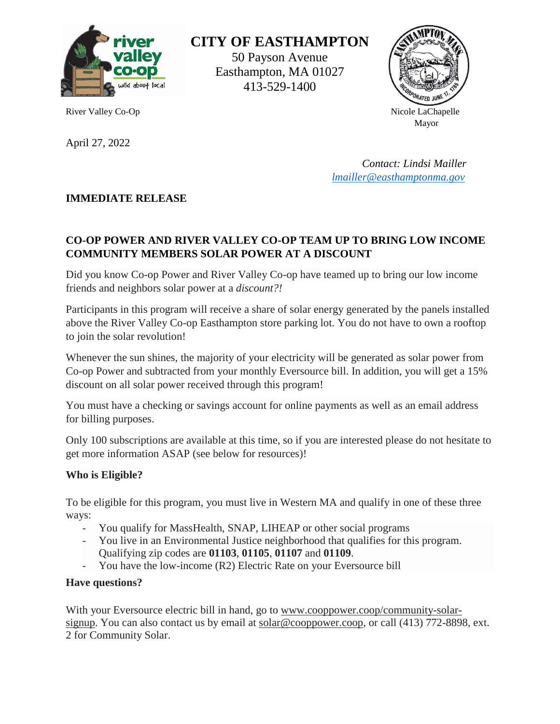

April 27, 2022

**CITY OF EASTHAMPTON**

50 Payson Avenue Easthampton, MA 01027 413-529-1400



River Valley Co-Op Nicole LaChapelle Mayor Mayor National Mayor National Mayor National Mayor National Mayor National Mayor National Mayor National Mayor National Mayor National Mayor National Mayor National Mayor National Mayor National Mayor National Mayor

> *Contact: Lindsi Mailler [lmailler@easthamptonma.gov](mailto:lmailler@easthamptonma.gov)*

## **IMMEDIATE RELEASE**

# **CO-OP POWER AND RIVER VALLEY CO-OP TEAM UP TO BRING LOW INCOME COMMUNITY MEMBERS SOLAR POWER AT A DISCOUNT**

Did you know Co-op Power and River Valley Co-op have teamed up to bring our low income friends and neighbors solar power at a *discount?!*

Participants in this program will receive a share of solar energy generated by the panels installed above the River Valley Co-op Easthampton store parking lot. You do not have to own a rooftop to join the solar revolution!

Whenever the sun shines, the majority of your electricity will be generated as solar power from Co-op Power and subtracted from your monthly Eversource bill. In addition, you will get a 15% discount on all solar power received through this program!

You must have a checking or savings account for online payments as well as an email address for billing purposes.

Only 100 subscriptions are available at this time, so if you are interested please do not hesitate to get more information ASAP (see below for resources)!

### **Who is Eligible?**

To be eligible for this program, you must live in Western MA and qualify in one of these three ways:

- You qualify for MassHealth, SNAP, LIHEAP or other social programs
- You live in an Environmental Justice neighborhood that qualifies for this program. Qualifying zip codes are **01103**, **01105**, **01107** and **01109**.
- You have the low-income (R2) Electric Rate on your Eversource bill

### **Have questions?**

With your Eversource electric bill in hand, go to [www.cooppower.coop/community-solar](https://rivervalley.us15.list-manage.com/track/click?u=1f2ea16861d953443514c7ff7&id=5281050421&e=9e30a1b62b)[signup.](https://rivervalley.us15.list-manage.com/track/click?u=1f2ea16861d953443514c7ff7&id=5281050421&e=9e30a1b62b) You can also contact us by email at [solar@cooppower.coop,](mailto:solar@cooppower.coop) or call (413) 772-8898, ext. 2 for Community Solar.